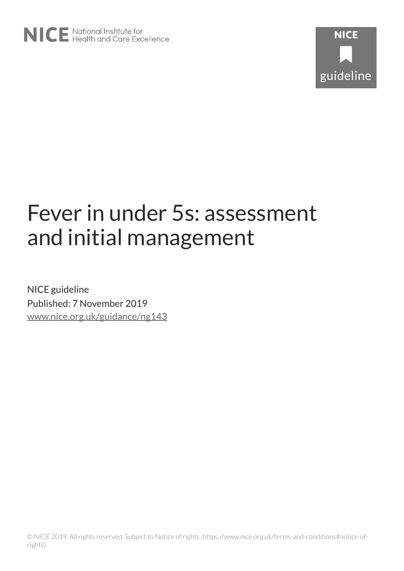

# Fever in under 5s: assessment and initial management

NICE guideline Published: 7 November 2019 [www.nice.org.uk/guidance/ng143](https://www.nice.org.uk/guidance/ng143)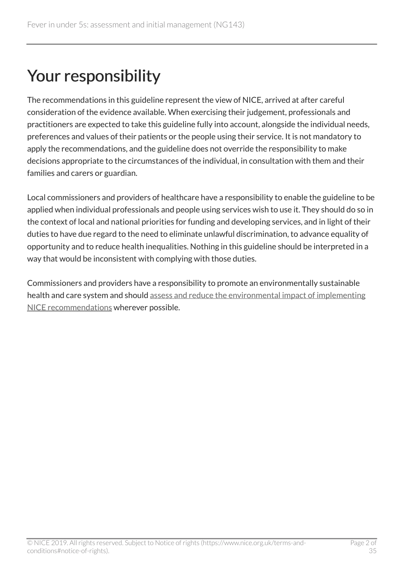# Your responsibility

The recommendations in this guideline represent the view of NICE, arrived at after careful consideration of the evidence available. When exercising their judgement, professionals and practitioners are expected to take this guideline fully into account, alongside the individual needs, preferences and values of their patients or the people using their service. It is not mandatory to apply the recommendations, and the guideline does not override the responsibility to make decisions appropriate to the circumstances of the individual, in consultation with them and their families and carers or guardian.

Local commissioners and providers of healthcare have a responsibility to enable the guideline to be applied when individual professionals and people using services wish to use it. They should do so in the context of local and national priorities for funding and developing services, and in light of their duties to have due regard to the need to eliminate unlawful discrimination, to advance equality of opportunity and to reduce health inequalities. Nothing in this guideline should be interpreted in a way that would be inconsistent with complying with those duties.

Commissioners and providers have a responsibility to promote an environmentally sustainable health and care system and should [assess and reduce the environmental impact of implementing](https://www.nice.org.uk/about/who-we-are/sustainability) [NICE recommendations](https://www.nice.org.uk/about/who-we-are/sustainability) wherever possible.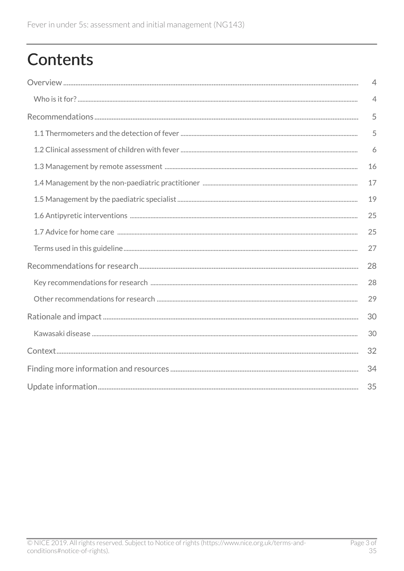# **Contents**

| $\overline{4}$ |
|----------------|
| $\overline{4}$ |
| 5              |
| 5              |
| 6              |
| 16             |
| 17             |
| 19             |
| 25             |
| 25             |
| 27             |
| 28             |
| 28             |
| 29             |
| 30             |
| 30             |
| 32             |
| 34             |
| 35             |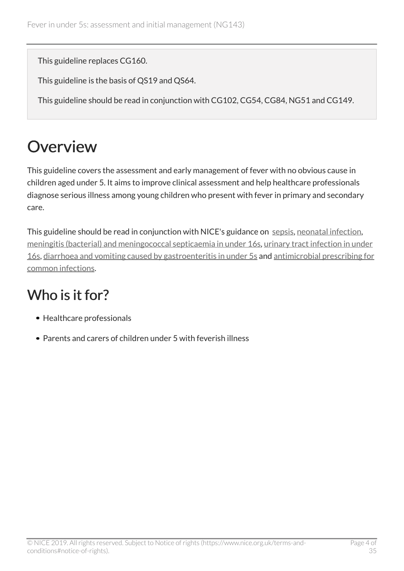This guideline replaces CG160.

This guideline is the basis of QS19 and QS64.

This guideline should be read in conjunction with CG102, CG54, CG84, NG51 and CG149.

# <span id="page-3-0"></span>**Overview**

This guideline covers the assessment and early management of fever with no obvious cause in children aged under 5. It aims to improve clinical assessment and help healthcare professionals diagnose serious illness among young children who present with fever in primary and secondary care.

This guideline should be read in conjunction with NICE's guidance on [sepsis,](https://www.nice.org.uk/guidance/ng51) [neonatal infection,](https://www.nice.org.uk/guidance/cg149) [meningitis \(bacterial\) and meningococcal septicaemia in under 16s](https://www.nice.org.uk/guidance/cg102), [urinary tract infection in under](https://www.nice.org.uk/guidance/cg54) [16s](https://www.nice.org.uk/guidance/cg54), [diarrhoea and vomiting caused by gastroenteritis in under 5s](https://www.nice.org.uk/guidance/cg84) and [antimicrobial prescribing for](https://pathways.nice.org.uk/pathways/antimicrobial-prescribing-for-common-infections) [common infections](https://pathways.nice.org.uk/pathways/antimicrobial-prescribing-for-common-infections).

# <span id="page-3-1"></span>Who is it for?

- Healthcare professionals
- Parents and carers of children under 5 with feverish illness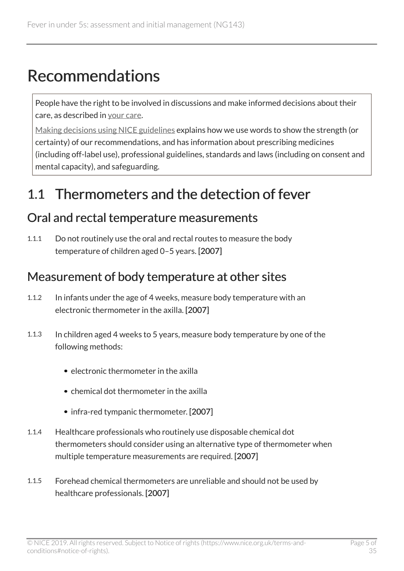# <span id="page-4-0"></span>Recommendations

People have the right to be involved in discussions and make informed decisions about their care, as described in [your care](http://www.nice.org.uk/about/nice-communities/public-involvement/your-care).

[Making decisions using NICE guidelines](http://www.nice.org.uk/about/what-we-do/our-programmes/nice-guidance/nice-guidelines/using-NICE-guidelines-to-make-decisions) explains how we use words to show the strength (or certainty) of our recommendations, and has information about prescribing medicines (including off-label use), professional guidelines, standards and laws (including on consent and mental capacity), and safeguarding.

## <span id="page-4-1"></span>1.1 Thermometers and the detection of fever

#### Oral and rectal temperature measurements

1.1.1 Do not routinely use the oral and rectal routes to measure the body temperature of children aged 0–5 years. [2007]

#### Measurement of body temperature at other sites

- 1.1.2 In infants under the age of 4 weeks, measure body temperature with an electronic thermometer in the axilla. [2007]
- 1.1.3 In children aged 4 weeks to 5 years, measure body temperature by one of the following methods:
	- $\bullet$  electronic thermometer in the axilla
	- chemical dot thermometer in the axilla
	- infra-red tympanic thermometer. [2007]
- 1.1.4 Healthcare professionals who routinely use disposable chemical dot thermometers should consider using an alternative type of thermometer when multiple temperature measurements are required. [2007]
- 1.1.5 Forehead chemical thermometers are unreliable and should not be used by healthcare professionals. [2007]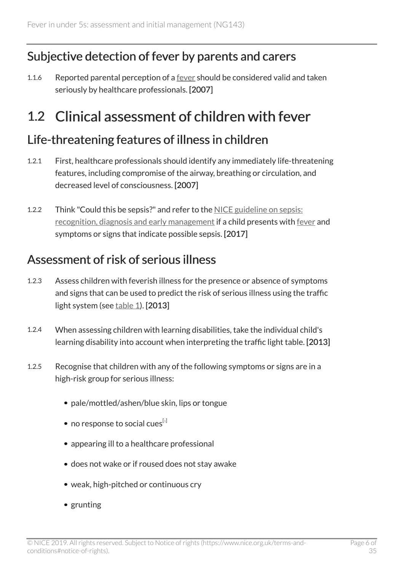#### Subjective detection of fever by parents and carers

1.1.6 Reported parental perception of a [fever](#page-26-1) should be considered valid and taken seriously by healthcare professionals. [2007]

## <span id="page-5-0"></span>1.2 Clinical assessment of children with fever

#### <span id="page-5-1"></span>Life-threatening features of illness in children

- 1.2.1 First, healthcare professionals should identify any immediately life-threatening features, including compromise of the airway, breathing or circulation, and decreased level of consciousness. [2007]
- 1.2.2 Think "Could this be sepsis?" and refer to the [NICE guideline on sepsis:](https://www.nice.org.uk/guidance/ng51) [recognition, diagnosis and early management](https://www.nice.org.uk/guidance/ng51) if a child presents with [fever](#page-26-1) and symptoms or signs that indicate possible sepsis. [2017]

#### Assessment of risk of serious illness

- 1.2.3 Assess children with feverish illness for the presence or absence of symptoms and signs that can be used to predict the risk of serious illness using the traffic light system (see  $table 1$  $table 1$ ). [2013]
- 1.2.4 When assessing children with learning disabilities, take the individual child's learning disability into account when interpreting the traffic light table. [2013]
- <span id="page-5-2"></span>1.2.5 Recognise that children with any of the following symptoms or signs are in a high-risk group for serious illness:
	- pale/mottled/ashen/blue skin, lips or tongue
	- no response to social cues  $[1]$  $[1]$  $[1]$
	- appearing ill to a healthcare professional
	- does not wake or if roused does not stay awake
	- weak, high-pitched or continuous cry
	- grunting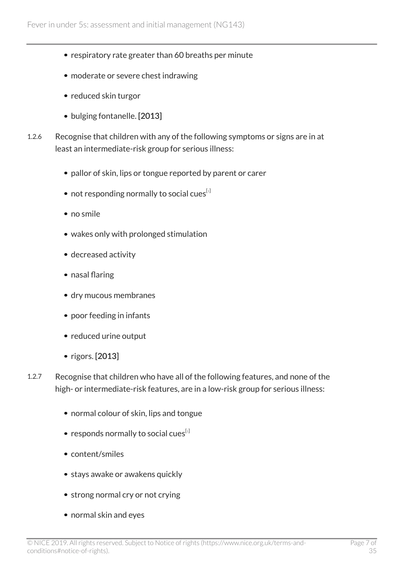- respiratory rate greater than 60 breaths per minute
- moderate or severe chest indrawing
- reduced skin turgor
- bulging fontanelle. [2013]
- 1.2.6 Recognise that children with any of the following symptoms or signs are in at least an intermediate-risk group for serious illness:
	- pallor of skin, lips or tongue reported by parent or carer
	- $\bullet$  not responding normally to social cues<sup>[[1](#page-26-2)]</sup>
	- no smile
	- wakes only with prolonged stimulation
	- decreased activity
	- nasal flaring
	- dry mucous membranes
	- poor feeding in infants
	- reduced urine output
	- $\bullet$  rigors. [2013]
- 1.2.7 Recognise that children who have all of the following features, and none of the high- or intermediate-risk features, are in a low-risk group for serious illness:
	- normal colour of skin, lips and tongue
	- responds normally to social cues<sup>[[1](#page-26-2)]</sup>
	- content/smiles
	- stays awake or awakens quickly
	- strong normal cry or not crying
	- normal skin and eyes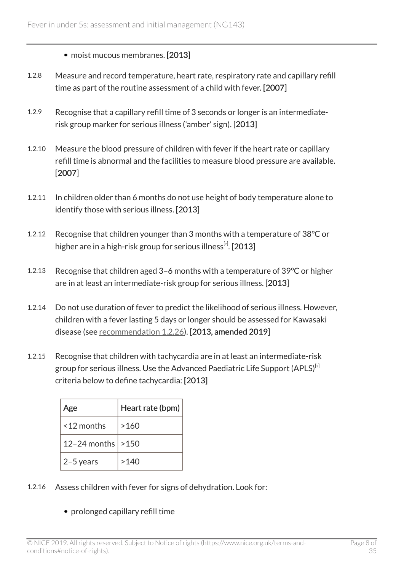• moist mucous membranes. [2013]

- 1.2.8 Measure and record temperature, heart rate, respiratory rate and capillary refill time as part of the routine assessment of a child with fever. [2007]
- 1.2.9 Recognise that a capillary refill time of 3 seconds or longer is an intermediaterisk group marker for serious illness ('amber' sign). [2013]
- 1.2.10 Measure the blood pressure of children with fever if the heart rate or capillary refill time is abnormal and the facilities to measure blood pressure are available. [2007]
- 1.2.11 In children older than 6 months do not use height of body temperature alone to identify those with serious illness. [2013]
- <span id="page-7-0"></span>1.2.12 Recognise that children younger than 3 months with a temperature of 38°C or higher are in a high-risk group for serious illness $^{\rm{[z]}}$ . [ $2013$  $2013$ ]
- 1.2.13 Recognise that children aged 3–6 months with a temperature of 39°C or higher are in at least an intermediate-risk group for serious illness. [2013]
- 1.2.14 Do not use duration of fever to predict the likelihood of serious illness. However, children with a fever lasting 5 days or longer should be assessed for Kawasaki disease (see [recommendation 1.2.26](#page-10-0)). [2013, amended 2019]
- <span id="page-7-1"></span>1.2.15 Recognise that children with tachycardia are in at least an intermediate-risk group for serious illness. Use the Advanced Paediatric Life Support (APLS)<sup>[[3](#page-26-4)]</sup> criteria below to define tachycardia: [2013]

| Age          | Heart rate (bpm) |
|--------------|------------------|
| <12 months   | >160             |
| 12-24 months | >150             |
| $2-5$ years  | >140             |

- 1.2.16 Assess children with fever for signs of dehydration. Look for:
	- prolonged capillary refill time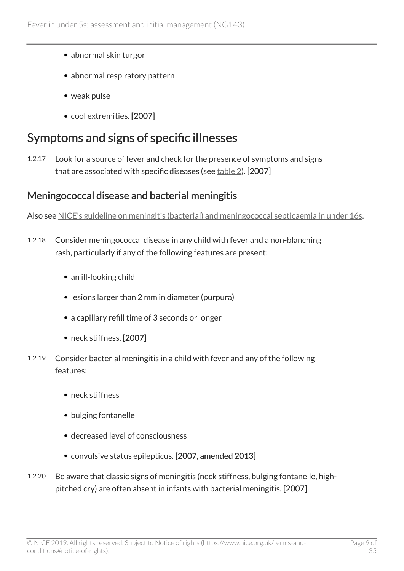- abnormal skin turgor
- abnormal respiratory pattern
- weak pulse
- cool extremities. [2007]

### Symptoms and signs of specific illnesses

1.2.17 Look for a source of fever and check for the presence of symptoms and signs that are associated with specific diseases (see [table](#page-14-0) 2). [2007]

#### Meningococcal disease and bacterial meningitis

Also see [NICE's guideline on meningitis \(bacterial\) and meningococcal septicaemia in under 16s](https://www.nice.org.uk/guidance/cg102).

- 1.2.18 Consider meningococcal disease in any child with fever and a non-blanching rash, particularly if any of the following features are present:
	- an ill-looking child
	- lesions larger than 2 mm in diameter (purpura)
	- a capillary refill time of 3 seconds or longer
	- neck stiffness. [2007]
- 1.2.19 Consider bacterial meningitis in a child with fever and any of the following features:
	- neck stiffness
	- bulging fontanelle
	- decreased level of consciousness
	- convulsive status epilepticus. [2007, amended 2013]
- 1.2.20 Be aware that classic signs of meningitis (neck stiffness, bulging fontanelle, highpitched cry) are often absent in infants with bacterial meningitis. [2007]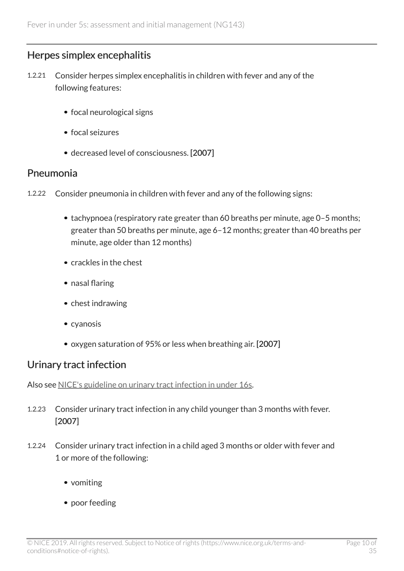#### <span id="page-9-0"></span>Herpes simplex encephalitis

- 1.2.21 Consider herpes simplex encephalitis in children with fever and any of the following features:
	- focal neurological signs
	- focal seizures
	- decreased level of consciousness. [2007]

#### Pneumonia

- 1.2.22 Consider pneumonia in children with fever and any of the following signs:
	- tachypnoea (respiratory rate greater than 60 breaths per minute, age 0-5 months; greater than 50 breaths per minute, age 6–12 months; greater than 40 breaths per minute, age older than 12 months)
	- crackles in the chest
	- nasal flaring
	- chest indrawing
	- cyanosis
	- oxygen saturation of 95% or less when breathing air. [2007]

#### Urinary tract infection

Also see [NICE's guideline on urinary tract infection in under 16s](https://www.nice.org.uk/guidance/cg54).

- 1.2.23 Consider urinary tract infection in any child younger than 3 months with fever. [2007]
- 1.2.24 Consider urinary tract infection in a child aged 3 months or older with fever and 1 or more of the following:
	- vomiting
	- poor feeding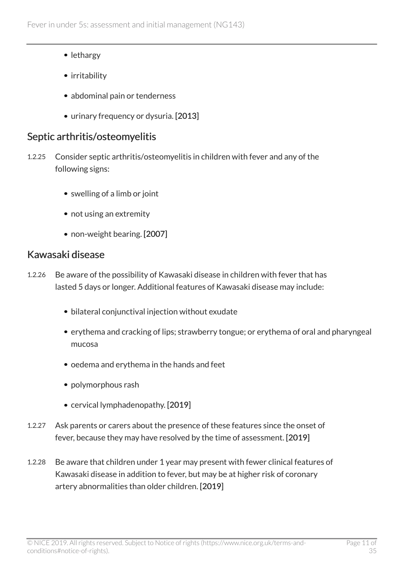- lethargy
- irritability
- abdominal pain or tenderness
- urinary frequency or dysuria. [2013]

#### Septic arthritis/osteomyelitis

- 1.2.25 Consider septic arthritis/osteomyelitis in children with fever and any of the following signs:
	- swelling of a limb or joint
	- not using an extremity
	- non-weight bearing. [2007]

#### <span id="page-10-0"></span>Kawasaki disease

- 1.2.26 Be aware of the possibility of Kawasaki disease in children with fever that has lasted 5 days or longer. Additional features of Kawasaki disease may include:
	- bilateral conjunctival injection without exudate
	- erythema and cracking of lips; strawberry tongue; or erythema of oral and pharyngeal mucosa
	- oedema and erythema in the hands and feet
	- polymorphous rash
	- cervical lymphadenopathy. [2019]
- 1.2.27 Ask parents or carers about the presence of these features since the onset of fever, because they may have resolved by the time of assessment. [2019]
- 1.2.28 Be aware that children under 1 year may present with fewer clinical features of Kawasaki disease in addition to fever, but may be at higher risk of coronary artery abnormalities than older children. [2019]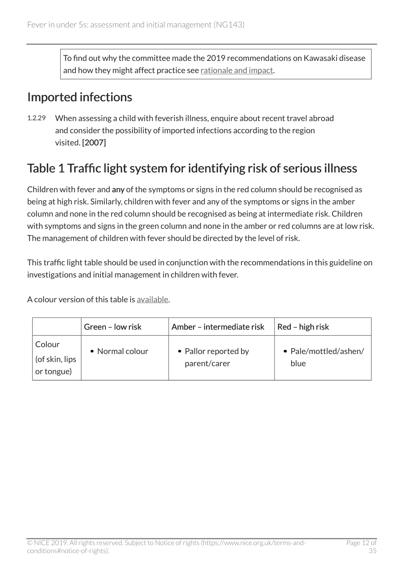To find out why the committee made the 2019 recommendations on Kawasaki disease and how they might affect practice see [rationale and impact.](#page-29-1)

#### Imported infections

1.2.29 When assessing a child with feverish illness, enquire about recent travel abroad and consider the possibility of imported infections according to the region visited. [2007]

### <span id="page-11-0"></span>Table 1 Traffic light system for identifying risk of serious illness

Children with fever and any of the symptoms or signs in the red column should be recognised as being at high risk. Similarly, children with fever and any of the symptoms or signs in the amber column and none in the red column should be recognised as being at intermediate risk. Children with symptoms and signs in the green column and none in the amber or red columns are at low risk. The management of children with fever should be directed by the level of risk.

This traffic light table should be used in conjunction with the recommendations in this guideline on investigations and initial management in children with fever.

A colour version of this table is [available](https://www.nice.org.uk/guidance/ng143/resources).

|                                        | Green - low risk | Amber - intermediate risk            | Red - high risk               |
|----------------------------------------|------------------|--------------------------------------|-------------------------------|
| Colour<br>(of skin, lips<br>or tongue) | • Normal colour  | • Pallor reported by<br>parent/carer | • Pale/mottled/ashen/<br>blue |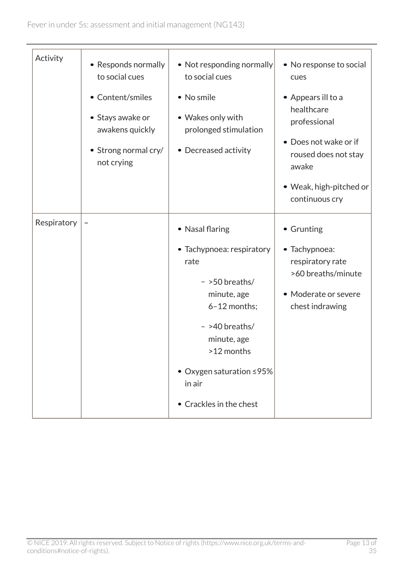| Activity    | • Responds normally<br>to social cues<br>• Content/smiles<br>• Stays awake or | • Not responding normally<br>to social cues<br>• No smile<br>• Wakes only with                                                                                                                                            | • No response to social<br>cues<br>• Appears ill to a<br>healthcare<br>professional                              |
|-------------|-------------------------------------------------------------------------------|---------------------------------------------------------------------------------------------------------------------------------------------------------------------------------------------------------------------------|------------------------------------------------------------------------------------------------------------------|
|             | awakens quickly<br>• Strong normal cry/<br>not crying                         | prolonged stimulation<br>• Decreased activity                                                                                                                                                                             | • Does not wake or if<br>roused does not stay<br>awake<br>• Weak, high-pitched or<br>continuous cry              |
| Respiratory | -                                                                             | • Nasal flaring<br>• Tachypnoea: respiratory<br>rate<br>$-$ >50 breaths/<br>minute, age<br>6-12 months;<br>$-$ >40 breaths/<br>minute, age<br>>12 months<br>● Oxygen saturation ≤95%<br>in air<br>• Crackles in the chest | • Grunting<br>• Tachypnoea:<br>respiratory rate<br>>60 breaths/minute<br>• Moderate or severe<br>chest indrawing |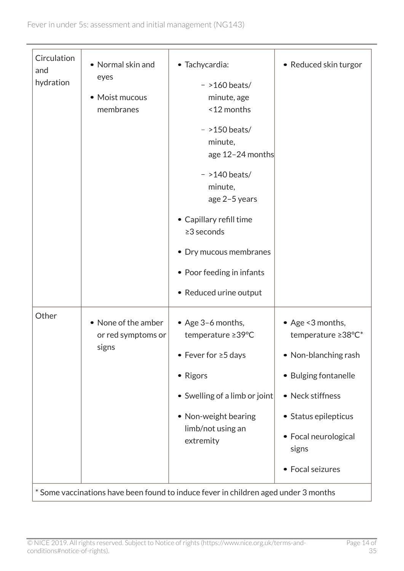| Circulation<br>and<br>hydration | • Normal skin and<br>eyes<br>• Moist mucous<br>membranes | • Tachycardia:<br>$-$ >160 beats/<br>minute, age<br><12 months<br>$-$ >150 beats/<br>minute,<br>age 12-24 months<br>$-$ >140 beats/<br>minute,<br>age 2-5 years<br>• Capillary refill time<br>$\geq$ 3 seconds<br>• Dry mucous membranes<br>• Poor feeding in infants<br>• Reduced urine output | • Reduced skin turgor                                                                                                                                                                             |
|---------------------------------|----------------------------------------------------------|-------------------------------------------------------------------------------------------------------------------------------------------------------------------------------------------------------------------------------------------------------------------------------------------------|---------------------------------------------------------------------------------------------------------------------------------------------------------------------------------------------------|
| Other                           | • None of the amber<br>or red symptoms or<br>signs       | • Age 3-6 months,<br>temperature ≥39°C<br>• Fever for $\geq$ 5 days<br>• Rigors<br>• Swelling of a limb or joint<br>• Non-weight bearing<br>limb/not using an<br>extremity                                                                                                                      | • Age <3 months,<br>temperature ≥38°C*<br>• Non-blanching rash<br><b>Bulging fontanelle</b><br>٠<br>• Neck stiffness<br>• Status epilepticus<br>• Focal neurological<br>signs<br>• Focal seizures |
|                                 |                                                          | * Some vaccinations have been found to induce fever in children aged under 3 months                                                                                                                                                                                                             |                                                                                                                                                                                                   |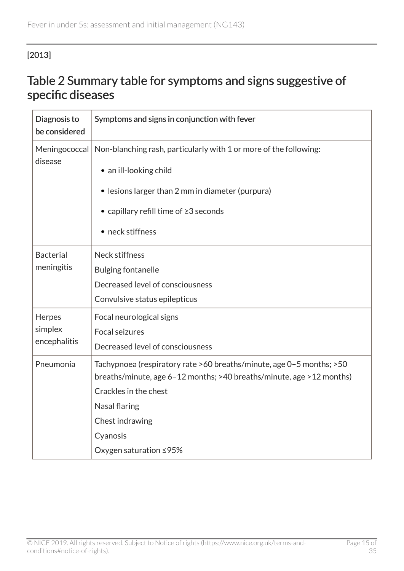#### <span id="page-14-0"></span>[2013]

#### Table 2 Summary table for symptoms and signs suggestive of specific diseases

| Diagnosis to<br>be considered | Symptoms and signs in conjunction with fever                         |
|-------------------------------|----------------------------------------------------------------------|
| Meningococcal<br>disease      | Non-blanching rash, particularly with 1 or more of the following:    |
|                               | • an ill-looking child                                               |
|                               | • lesions larger than 2 mm in diameter (purpura)                     |
|                               | • capillary refill time of ≥3 seconds                                |
|                               | • neck stiffness                                                     |
| <b>Bacterial</b>              | <b>Neck stiffness</b>                                                |
| meningitis                    | <b>Bulging fontanelle</b>                                            |
|                               | Decreased level of consciousness                                     |
|                               | Convulsive status epilepticus                                        |
| Herpes                        | Focal neurological signs                                             |
| simplex                       | Focal seizures                                                       |
| encephalitis                  | Decreased level of consciousness                                     |
| Pneumonia                     | Tachypnoea (respiratory rate >60 breaths/minute, age 0-5 months; >50 |
|                               | breaths/minute, age 6-12 months; >40 breaths/minute, age >12 months) |
|                               | Crackles in the chest                                                |
|                               | Nasal flaring                                                        |
|                               | Chest indrawing                                                      |
|                               | Cyanosis                                                             |
|                               | Oxygen saturation ≤95%                                               |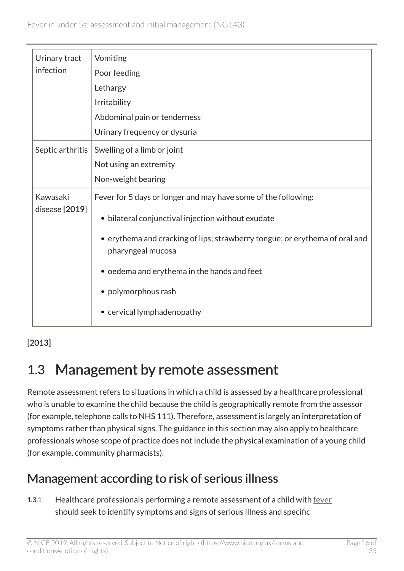| Urinary tract              | Vomiting                                                                                         |
|----------------------------|--------------------------------------------------------------------------------------------------|
| infection                  | Poor feeding                                                                                     |
|                            | Lethargy                                                                                         |
|                            | Irritability                                                                                     |
|                            | Abdominal pain or tenderness                                                                     |
|                            | Urinary frequency or dysuria                                                                     |
| Septic arthritis           | Swelling of a limb or joint                                                                      |
|                            | Not using an extremity                                                                           |
|                            | Non-weight bearing                                                                               |
| Kawasaki<br>disease [2019] | Fever for 5 days or longer and may have some of the following:                                   |
|                            | • bilateral conjunctival injection without exudate                                               |
|                            | • erythema and cracking of lips; strawberry tongue; or erythema of oral and<br>pharyngeal mucosa |
|                            | • oedema and erythema in the hands and feet                                                      |
|                            | • polymorphous rash                                                                              |
|                            | • cervical lymphadenopathy                                                                       |

#### [2013]

## <span id="page-15-0"></span>1.3 Management by remote assessment

Remote assessment refers to situations in which a child is assessed by a healthcare professional who is unable to examine the child because the child is geographically remote from the assessor (for example, telephone calls to NHS 111). Therefore, assessment is largely an interpretation of symptoms rather than physical signs. The guidance in this section may also apply to healthcare professionals whose scope of practice does not include the physical examination of a young child (for example, community pharmacists).

### Management according to risk of serious illness

1.3.1 Healthcare professionals performing a remote assessment of a child with [fever](#page-26-1) should seek to identify symptoms and signs of serious illness and specific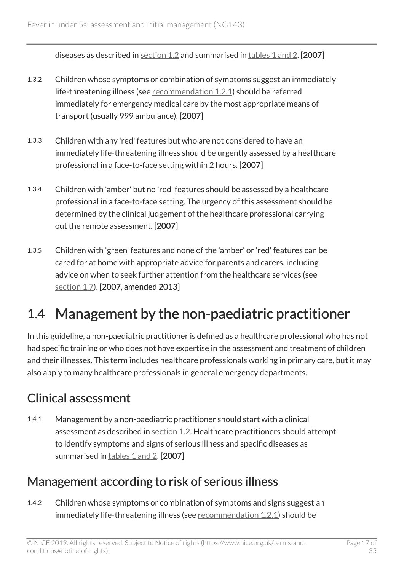diseases as described in [section](#page-5-0) 1.2 and summarised in tables [1 and 2](#page-11-0). [2007]

- 1.3.2 Children whose symptoms or combination of symptoms suggest an immediately life-threatening illness (see [recommendation 1.2.1\)](#page-5-1) should be referred immediately for emergency medical care by the most appropriate means of transport (usually 999 ambulance). [2007]
- 1.3.3 Children with any 'red' features but who are not considered to have an immediately life-threatening illness should be urgently assessed by a healthcare professional in a face-to-face setting within 2 hours. [2007]
- 1.3.4 Children with 'amber' but no 'red' features should be assessed by a healthcare professional in a face-to-face setting. The urgency of this assessment should be determined by the clinical judgement of the healthcare professional carrying out the remote assessment. [2007]
- 1.3.5 Children with 'green' features and none of the 'amber' or 'red' features can be cared for at home with appropriate advice for parents and carers, including advice on when to seek further attention from the healthcare services (see [section](#page-24-2) 1.7). [2007, amended 2013]

# <span id="page-16-0"></span>1.4 Management by the non-paediatric practitioner

In this guideline, a non-paediatric practitioner is defined as a healthcare professional who has not had specific training or who does not have expertise in the assessment and treatment of children and their illnesses. This term includes healthcare professionals working in primary care, but it may also apply to many healthcare professionals in general emergency departments.

### Clinical assessment

1.4.1 Management by a non-paediatric practitioner should start with a clinical assessment as described in [section](#page-5-1) 1.2. Healthcare practitioners should attempt to identify symptoms and signs of serious illness and specific diseases as summarised in tables [1 and 2.](#page-11-0) [2007]

### Management according to risk of serious illness

1.4.2 Children whose symptoms or combination of symptoms and signs suggest an immediately life-threatening illness (see [recommendation 1.2.1\)](#page-5-1) should be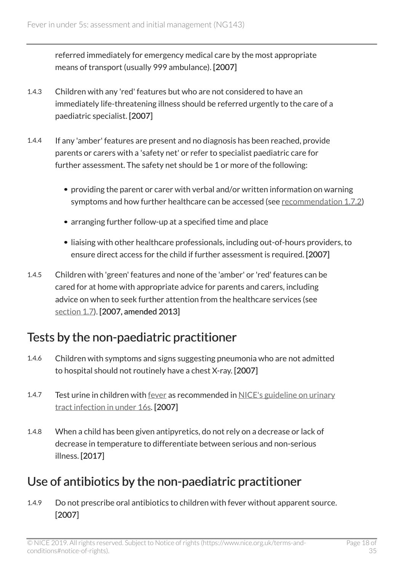referred immediately for emergency medical care by the most appropriate means of transport (usually 999 ambulance). [2007]

- 1.4.3 Children with any 'red' features but who are not considered to have an immediately life-threatening illness should be referred urgently to the care of a paediatric specialist. [2007]
- 1.4.4 If any 'amber' features are present and no diagnosis has been reached, provide parents or carers with a 'safety net' or refer to specialist paediatric care for further assessment. The safety net should be 1 or more of the following:
	- providing the parent or carer with verbal and/or written information on warning symptoms and how further healthcare can be accessed (see [recommendation](#page-24-2) 1.7.2)
	- arranging further follow-up at a specified time and place
	- liaising with other healthcare professionals, including out-of-hours providers, to ensure direct access for the child if further assessment is required. [2007]
- 1.4.5 Children with 'green' features and none of the 'amber' or 'red' features can be cared for at home with appropriate advice for parents and carers, including advice on when to seek further attention from the healthcare services (see [section](#page-24-2) 1.7). [2007, amended 2013]

### Tests by the non-paediatric practitioner

- 1.4.6 Children with symptoms and signs suggesting pneumonia who are not admitted to hospital should not routinely have a chest X-ray. [2007]
- 1.4.7 Test urine in children with [fever](#page-26-1) as recommended in [NICE's guideline on urinary](https://www.nice.org.uk/guidance/cg54) [tract infection in under 16s](https://www.nice.org.uk/guidance/cg54). [2007]
- 1.4.8 When a child has been given antipyretics, do not rely on a decrease or lack of decrease in temperature to differentiate between serious and non-serious illness. [2017]

### Use of antibiotics by the non-paediatric practitioner

1.4.9 Do not prescribe oral antibiotics to children with fever without apparent source. [2007]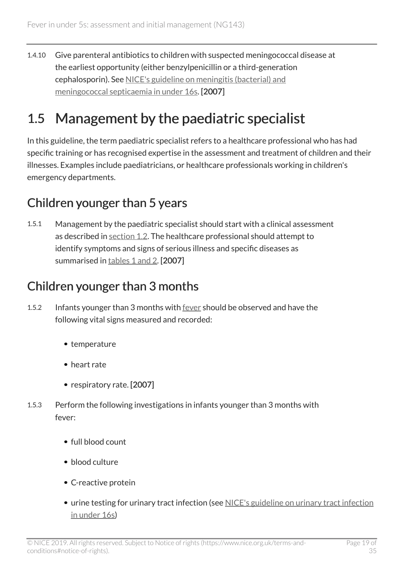1.4.10 Give parenteral antibiotics to children with suspected meningococcal disease at the earliest opportunity (either benzylpenicillin or a third-generation cephalosporin). See [NICE's guideline on meningitis \(bacterial\) and](https://www.nice.org.uk/guidance/cg102) [meningococcal septicaemia in under 16s](https://www.nice.org.uk/guidance/cg102). [2007]

# <span id="page-18-0"></span>1.5 Management by the paediatric specialist

In this guideline, the term paediatric specialist refers to a healthcare professional who has had specific training or has recognised expertise in the assessment and treatment of children and their illnesses. Examples include paediatricians, or healthcare professionals working in children's emergency departments.

### Children younger than 5 years

1.5.1 Management by the paediatric specialist should start with a clinical assessment as described in [section 1.2](#page-5-1). The healthcare professional should attempt to identify symptoms and signs of serious illness and specific diseases as summarised in [tables 1 and 2.](#page-11-0) [2007]

### Children younger than 3 months

- 1.5.2 Infants younger than 3 months with [fever](#page-26-1) should be observed and have the following vital signs measured and recorded:
	- temperature
	- heart rate
	- respiratory rate. [2007]
- 1.5.3 Perform the following investigations in infants younger than 3 months with fever:
	- full blood count
	- blood culture
	- C-reactive protein
	- urine testing for urinary tract infection (see [NICE's guideline on urinary tract infection](https://www.nice.org.uk/guidance/cg54) [in under 16s](https://www.nice.org.uk/guidance/cg54))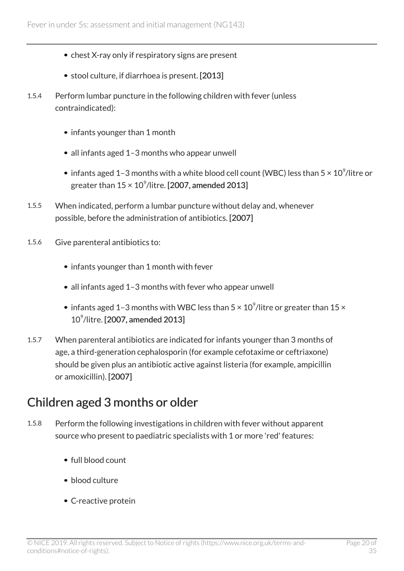- chest X-ray only if respiratory signs are present
- stool culture, if diarrhoea is present. [2013]
- 1.5.4 Perform lumbar puncture in the following children with fever (unless contraindicated):
	- infants younger than 1 month
	- all infants aged 1-3 months who appear unwell
	- infants aged 1–3 months with a white blood cell count (WBC) less than 5  $\times$  10 $^{\circ}$ /litre or greater than 15 × 10 $^{\circ}$ /litre. [2007, amended 2013]
- 1.5.5 When indicated, perform a lumbar puncture without delay and, whenever possible, before the administration of antibiotics. [2007]
- 1.5.6 Give parenteral antibiotics to:
	- infants younger than 1 month with fever
	- all infants aged 1–3 months with fever who appear unwell
	- infants aged 1–3 months with WBC less than 5  $\times$  10 $^{\circ}$ /litre or greater than 15  $\times$ 10<sup>9</sup>/litre. [2007, amended 2013]
- 1.5.7 When parenteral antibiotics are indicated for infants younger than 3 months of age, a third-generation cephalosporin (for example cefotaxime or ceftriaxone) should be given plus an antibiotic active against listeria (for example, ampicillin or amoxicillin). [2007]

### Children aged 3 months or older

- 1.5.8 Perform the following investigations in children with fever without apparent source who present to paediatric specialists with 1 or more 'red' features:
	- full blood count
	- blood culture
	- C-reactive protein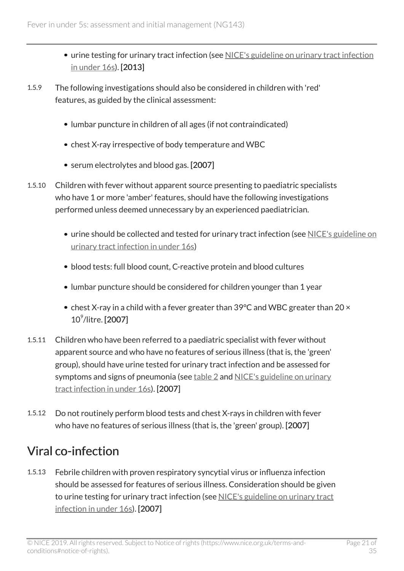- urine testing for urinary tract infection (see [NICE's guideline on urinary tract infection](https://www.nice.org.uk/guidance/cg54) [in under 16s](https://www.nice.org.uk/guidance/cg54)). [2013]
- 1.5.9 The following investigations should also be considered in children with 'red' features, as guided by the clinical assessment:
	- lumbar puncture in children of all ages (if not contraindicated)
	- chest X-ray irrespective of body temperature and WBC
	- serum electrolytes and blood gas. [2007]
- 1.5.10 Children with fever without apparent source presenting to paediatric specialists who have 1 or more 'amber' features, should have the following investigations performed unless deemed unnecessary by an experienced paediatrician.
	- urine should be collected and tested for urinary tract infection (see [NICE's guideline on](https://www.nice.org.uk/guidance/cg54) [urinary tract infection in under 16s](https://www.nice.org.uk/guidance/cg54))
	- blood tests: full blood count, C-reactive protein and blood cultures
	- lumbar puncture should be considered for children younger than 1 year
	- chest X-ray in a child with a fever greater than 39°C and WBC greater than 20  $\times$ 10<sup>9</sup> /litre. [2007]
- 1.5.11 Children who have been referred to a paediatric specialist with fever without apparent source and who have no features of serious illness (that is, the 'green' group), should have urine tested for urinary tract infection and be assessed for symptoms and signs of pneumonia (see [table 2](#page-14-0) and [NICE's guideline on urinary](https://www.nice.org.uk/guidance/cg54) [tract infection in under 16s](https://www.nice.org.uk/guidance/cg54)). [2007]
- 1.5.12 Do not routinely perform blood tests and chest X-rays in children with fever who have no features of serious illness (that is, the 'green' group). [2007]

### Viral co-infection

1.5.13 Febrile children with proven respiratory syncytial virus or influenza infection should be assessed for features of serious illness. Consideration should be given to urine testing for urinary tract infection (see [NICE's guideline on urinary tract](https://www.nice.org.uk/guidance/cg54) [infection in under 16s\)](https://www.nice.org.uk/guidance/cg54). [2007]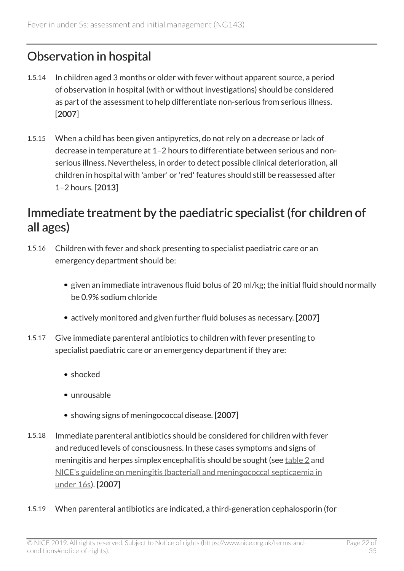### Observation in hospital

- 1.5.14 In children aged 3 months or older with fever without apparent source, a period of observation in hospital (with or without investigations) should be considered as part of the assessment to help differentiate non-serious from serious illness. [2007]
- 1.5.15 When a child has been given antipyretics, do not rely on a decrease or lack of decrease in temperature at 1–2 hours to differentiate between serious and nonserious illness. Nevertheless, in order to detect possible clinical deterioration, all children in hospital with 'amber' or 'red' features should still be reassessed after 1–2 hours. [2013]

#### Immediate treatment by the paediatric specialist (for children of all ages)

- 1.5.16 Children with fever and shock presenting to specialist paediatric care or an emergency department should be:
	- given an immediate intravenous fluid bolus of 20 ml/kg; the initial fluid should normally be 0.9% sodium chloride
	- actively monitored and given further fluid boluses as necessary. [2007]
- 1.5.17 Give immediate parenteral antibiotics to children with fever presenting to specialist paediatric care or an emergency department if they are:
	- shocked
	- unrousable
	- showing signs of meningococcal disease. [2007]
- 1.5.18 Immediate parenteral antibiotics should be considered for children with fever and reduced levels of consciousness. In these cases symptoms and signs of meningitis and herpes simplex encephalitis should be sought (see [table 2](#page-14-0) and [NICE's guideline on meningitis \(bacterial\) and meningococcal septicaemia in](https://www.nice.org.uk/guidance/cg102) [under 16s\)](https://www.nice.org.uk/guidance/cg102). [2007]
- 1.5.19 When parenteral antibiotics are indicated, a third-generation cephalosporin (for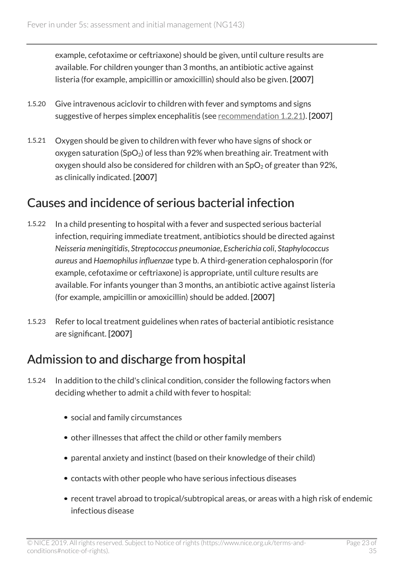example, cefotaxime or ceftriaxone) should be given, until culture results are available. For children younger than 3 months, an antibiotic active against listeria (for example, ampicillin or amoxicillin) should also be given. [2007]

- 1.5.20 Give intravenous aciclovir to children with fever and symptoms and signs suggestive of herpes simplex encephalitis (see [recommendation 1.2.21\)](#page-9-0). [2007]
- 1.5.21 Oxygen should be given to children with fever who have signs of shock or oxygen saturation (SpO<sub>2</sub>) of less than 92% when breathing air. Treatment with oxygen should also be considered for children with an  $SpO<sub>2</sub>$  of greater than 92%, as clinically indicated. [2007]

#### Causes and incidence of serious bacterial infection

- 1.5.22 In a child presenting to hospital with a fever and suspected serious bacterial infection, requiring immediate treatment, antibiotics should be directed against *Neisseria meningitidis*, *Streptococcus pneumoniae*, *Escherichia coli*, *Staphylococcus aureus* and *Haemophilus influenzae* type b. A third-generation cephalosporin (for example, cefotaxime or ceftriaxone) is appropriate, until culture results are available. For infants younger than 3 months, an antibiotic active against listeria (for example, ampicillin or amoxicillin) should be added. [2007]
- 1.5.23 Refer to local treatment guidelines when rates of bacterial antibiotic resistance are significant. [2007]

### Admission to and discharge from hospital

- 1.5.24 In addition to the child's clinical condition, consider the following factors when deciding whether to admit a child with fever to hospital:
	- social and family circumstances
	- other illnesses that affect the child or other family members
	- parental anxiety and instinct (based on their knowledge of their child)
	- contacts with other people who have serious infectious diseases
	- recent travel abroad to tropical/subtropical areas, or areas with a high risk of endemic infectious disease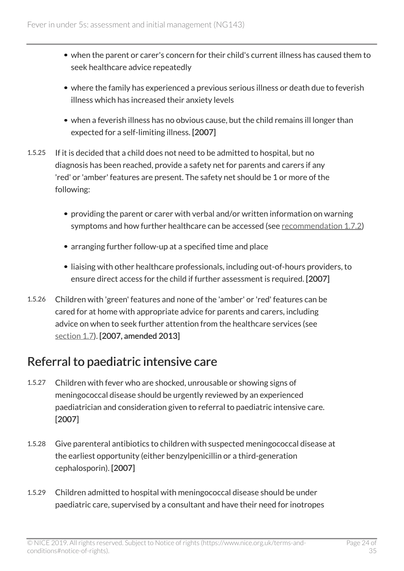- when the parent or carer's concern for their child's current illness has caused them to seek healthcare advice repeatedly
- where the family has experienced a previous serious illness or death due to feverish illness which has increased their anxiety levels
- when a feverish illness has no obvious cause, but the child remains ill longer than expected for a self-limiting illness. [2007]
- 1.5.25 If it is decided that a child does not need to be admitted to hospital, but no diagnosis has been reached, provide a safety net for parents and carers if any 'red' or 'amber' features are present. The safety net should be 1 or more of the following:
	- providing the parent or carer with verbal and/or written information on warning symptoms and how further healthcare can be accessed (see [recommendation](#page-24-2) 1.7.2)
	- arranging further follow-up at a specified time and place
	- liaising with other healthcare professionals, including out-of-hours providers, to ensure direct access for the child if further assessment is required. [2007]
- 1.5.26 Children with 'green' features and none of the 'amber' or 'red' features can be cared for at home with appropriate advice for parents and carers, including advice on when to seek further attention from the healthcare services (see [section 1.7](#page-24-1)). [2007, amended 2013]

#### Referral to paediatric intensive care

- 1.5.27 Children with fever who are shocked, unrousable or showing signs of meningococcal disease should be urgently reviewed by an experienced paediatrician and consideration given to referral to paediatric intensive care. [2007]
- 1.5.28 Give parenteral antibiotics to children with suspected meningococcal disease at the earliest opportunity (either benzylpenicillin or a third-generation cephalosporin). [2007]
- 1.5.29 Children admitted to hospital with meningococcal disease should be under paediatric care, supervised by a consultant and have their need for inotropes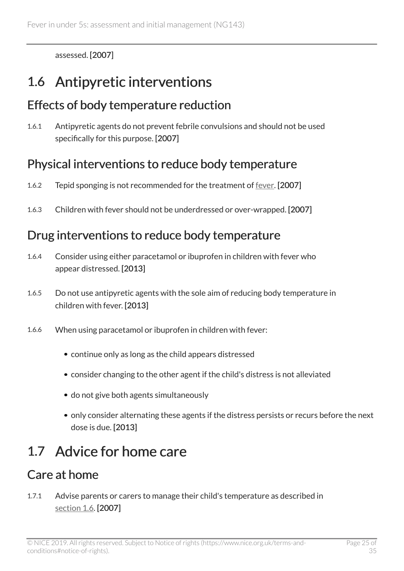assessed. [2007]

# <span id="page-24-0"></span>1.6 Antipyretic interventions

### Effects of body temperature reduction

1.6.1 Antipyretic agents do not prevent febrile convulsions and should not be used specifically for this purpose. [2007]

### Physical interventions to reduce body temperature

- 1.6.2 Tepid sponging is not recommended for the treatment of [fever](#page-26-1). [2007]
- 1.6.3 Children with fever should not be underdressed or over-wrapped. [2007]

### Drug interventions to reduce body temperature

- 1.6.4 Consider using either paracetamol or ibuprofen in children with fever who appear distressed. [2013]
- 1.6.5 Do not use antipyretic agents with the sole aim of reducing body temperature in children with fever. [2013]
- 1.6.6 When using paracetamol or ibuprofen in children with fever:
	- continue only as long as the child appears distressed
	- consider changing to the other agent if the child's distress is not alleviated
	- do not give both agents simultaneously
	- only consider alternating these agents if the distress persists or recurs before the next dose is due. [2013]

# <span id="page-24-1"></span>1.7 Advice for home care

## <span id="page-24-2"></span>Care at home

1.7.1 Advise parents or carers to manage their child's temperature as described in [section 1.6](#page-24-0). [2007]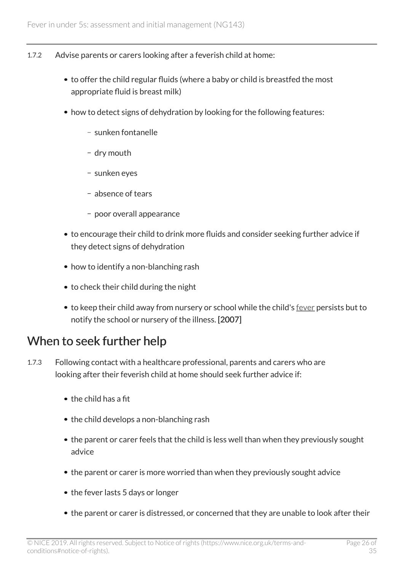- 1.7.2 Advise parents or carers looking after a feverish child at home:
	- to offer the child regular fluids (where a baby or child is breastfed the most appropriate fluid is breast milk)
	- how to detect signs of dehydration by looking for the following features:
		- sunken fontanelle
		- dry mouth
		- sunken eyes
		- absence of tears
		- poor overall appearance
	- to encourage their child to drink more fluids and consider seeking further advice if they detect signs of dehydration
	- how to identify a non-blanching rash
	- to check their child during the night
	- to keep their child away from nursery or school while the child's [fever](#page-26-1) persists but to notify the school or nursery of the illness. [2007]

#### When to seek further help

- 1.7.3 Following contact with a healthcare professional, parents and carers who are looking after their feverish child at home should seek further advice if:
	- $\bullet$  the child has a fit
	- the child develops a non-blanching rash
	- the parent or carer feels that the child is less well than when they previously sought advice
	- the parent or carer is more worried than when they previously sought advice
	- the fever lasts 5 days or longer
	- the parent or carer is distressed, or concerned that they are unable to look after their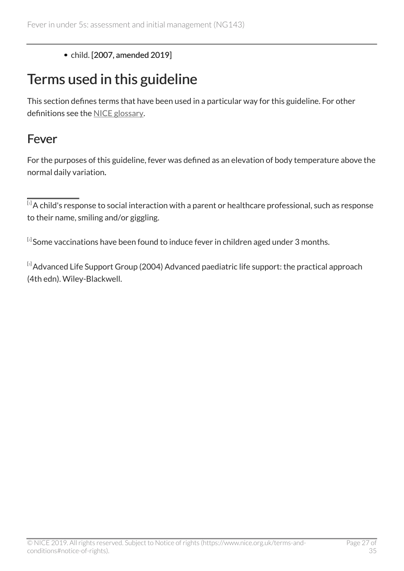#### • child. [2007, amended 2019]

# <span id="page-26-0"></span>Terms used in this guideline

This section defines terms that have been used in a particular way for this guideline. For other definitions see the [NICE glossary](https://www.nice.org.uk/Glossary).

#### <span id="page-26-1"></span>Fever

For the purposes of this guideline, fever was defined as an elevation of body temperature above the normal daily variation.

<span id="page-26-3"></span> $^{[\tiny 2]}$  $^{[\tiny 2]}$  $^{[\tiny 2]}$ Some vaccinations have been found to induce fever in children aged under 3 months.

<span id="page-26-4"></span>[[3](#page-7-1)] Advanced Life Support Group (2004) Advanced paediatric life support: the practical approach (4th edn). Wiley-Blackwell.

<span id="page-26-2"></span> $\overline{^{[1]}}$  $\overline{^{[1]}}$  $\overline{^{[1]}}$ A child's response to social interaction with a parent or healthcare professional, such as response to their name, smiling and/or giggling.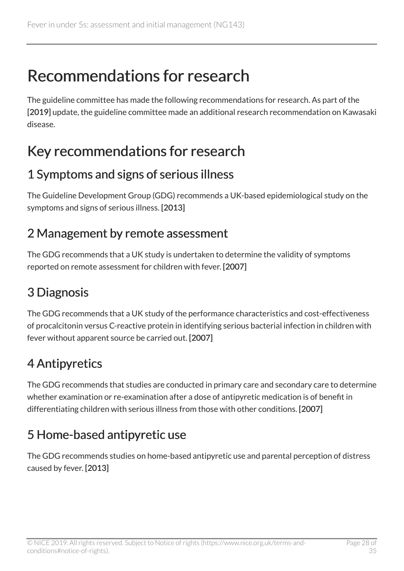# <span id="page-27-0"></span>Recommendations for research

The guideline committee has made the following recommendations for research. As part of the [2019] update, the guideline committee made an additional research recommendation on Kawasaki disease.

# <span id="page-27-1"></span>Key recommendations for research

### 1 Symptoms and signs of serious illness

The Guideline Development Group (GDG) recommends a UK-based epidemiological study on the symptoms and signs of serious illness. [2013]

#### 2 Management by remote assessment

The GDG recommends that a UK study is undertaken to determine the validity of symptoms reported on remote assessment for children with fever. [2007]

## 3 Diagnosis

The GDG recommends that a UK study of the performance characteristics and cost-effectiveness of procalcitonin versus C-reactive protein in identifying serious bacterial infection in children with fever without apparent source be carried out. [2007]

## 4 Antipyretics

The GDG recommends that studies are conducted in primary care and secondary care to determine whether examination or re-examination after a dose of antipyretic medication is of benefit in differentiating children with serious illness from those with other conditions. [2007]

## 5 Home-based antipyretic use

The GDG recommends studies on home-based antipyretic use and parental perception of distress caused by fever. [2013]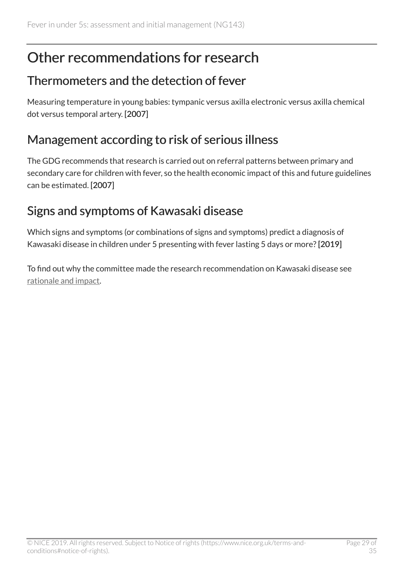## <span id="page-28-0"></span>Other recommendations for research

#### Thermometers and the detection of fever

Measuring temperature in young babies: tympanic versus axilla electronic versus axilla chemical dot versus temporal artery. [2007]

### Management according to risk of serious illness

The GDG recommends that research is carried out on referral patterns between primary and secondary care for children with fever, so the health economic impact of this and future guidelines can be estimated. [2007]

### <span id="page-28-1"></span>Signs and symptoms of Kawasaki disease

Which signs and symptoms (or combinations of signs and symptoms) predict a diagnosis of Kawasaki disease in children under 5 presenting with fever lasting 5 days or more?[2019]

To find out why the committee made the research recommendation on Kawasaki disease see [rationale and impact.](#page-29-1)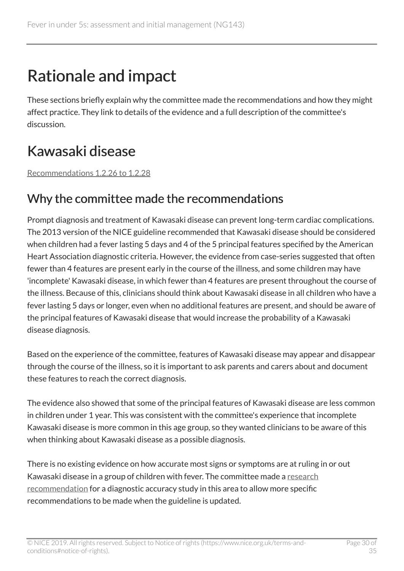# <span id="page-29-0"></span>Rationale and impact

These sections briefly explain why the committee made the recommendations and how they might affect practice. They link to details of the evidence and a full description of the committee's discussion.

# <span id="page-29-1"></span>Kawasaki disease

[Recommendations 1.2.26 to 1.2.28](#page-10-0)

#### Why the committee made the recommendations

Prompt diagnosis and treatment of Kawasaki disease can prevent long-term cardiac complications. The 2013 version of the NICE guideline recommended that Kawasaki disease should be considered when children had a fever lasting 5 days and 4 of the 5 principal features specified by the American Heart Association diagnostic criteria. However, the evidence from case-series suggested that often fewer than 4 features are present early in the course of the illness, and some children may have 'incomplete' Kawasaki disease, in which fewer than 4 features are present throughout the course of the illness. Because of this, clinicians should think about Kawasaki disease in all children who have a fever lasting 5 days or longer, even when no additional features are present, and should be aware of the principal features of Kawasaki disease that would increase the probability of a Kawasaki disease diagnosis.

Based on the experience of the committee, features of Kawasaki disease may appear and disappear through the course of the illness, so it is important to ask parents and carers about and document these features to reach the correct diagnosis.

The evidence also showed that some of the principal features of Kawasaki disease are less common in children under 1 year. This was consistent with the committee's experience that incomplete Kawasaki disease is more common in this age group, so they wanted clinicians to be aware of this when thinking about Kawasaki disease as a possible diagnosis.

There is no existing evidence on how accurate most signs or symptoms are at ruling in or out Kawasaki disease in a group of children with fever. The committee made a [research](#page-28-1) [recommendation](#page-28-1) for a diagnostic accuracy study in this area to allow more specific recommendations to be made when the guideline is updated.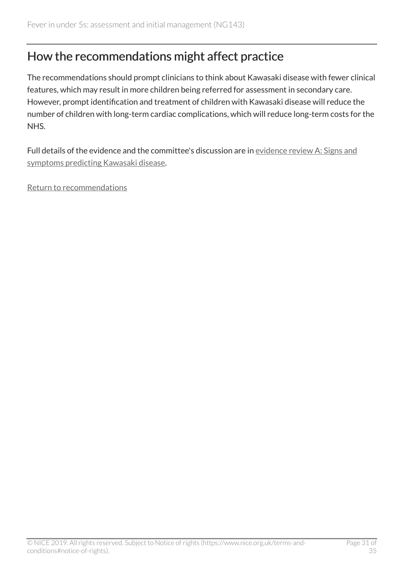#### How the recommendations might affect practice

The recommendations should prompt clinicians to think about Kawasaki disease with fewer clinical features, which may result in more children being referred for assessment in secondary care. However, prompt identification and treatment of children with Kawasaki disease will reduce the number of children with long-term cardiac complications, which will reduce long-term costs for the NHS.

Full details of the evidence and the committee's discussion are in [evidence review A: Signs and](https://www.nice.org.uk/guidance/ng143/evidence/) [symptoms predicting Kawasaki disease](https://www.nice.org.uk/guidance/ng143/evidence/).

[Return to recommendations](#page-10-0)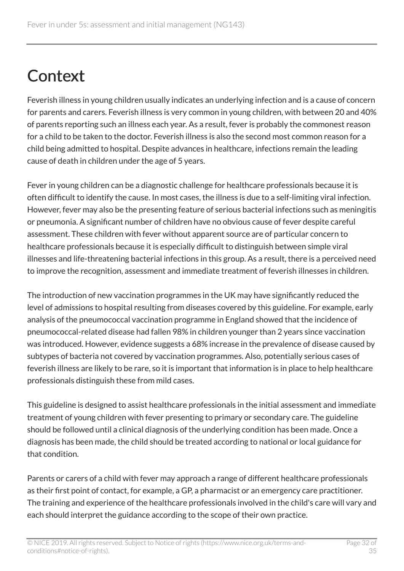# <span id="page-31-0"></span>**Context**

Feverish illness in young children usually indicates an underlying infection and is a cause of concern for parents and carers. Feverish illness is very common in young children, with between 20 and 40% of parents reporting such an illness each year. As a result, fever is probably the commonest reason for a child to be taken to the doctor. Feverish illness is also the second most common reason for a child being admitted to hospital. Despite advances in healthcare, infections remain the leading cause of death in children under the age of 5 years.

Fever in young children can be a diagnostic challenge for healthcare professionals because it is often difficult to identify the cause. In most cases, the illness is due to a self-limiting viral infection. However, fever may also be the presenting feature of serious bacterial infections such as meningitis or pneumonia. A significant number of children have no obvious cause of fever despite careful assessment. These children with fever without apparent source are of particular concern to healthcare professionals because it is especially difficult to distinguish between simple viral illnesses and life-threatening bacterial infections in this group. As a result, there is a perceived need to improve the recognition, assessment and immediate treatment of feverish illnesses in children.

The introduction of new vaccination programmes in the UK may have significantly reduced the level of admissions to hospital resulting from diseases covered by this guideline. For example, early analysis of the pneumococcal vaccination programme in England showed that the incidence of pneumococcal-related disease had fallen 98% in children younger than 2 years since vaccination was introduced. However, evidence suggests a 68% increase in the prevalence of disease caused by subtypes of bacteria not covered by vaccination programmes. Also, potentially serious cases of feverish illness are likely to be rare, so it is important that information is in place to help healthcare professionals distinguish these from mild cases.

This guideline is designed to assist healthcare professionals in the initial assessment and immediate treatment of young children with fever presenting to primary or secondary care. The guideline should be followed until a clinical diagnosis of the underlying condition has been made. Once a diagnosis has been made, the child should be treated according to national or local guidance for that condition.

Parents or carers of a child with fever may approach a range of different healthcare professionals as their first point of contact, for example, a GP, a pharmacist or an emergency care practitioner. The training and experience of the healthcare professionals involved in the child's care will vary and each should interpret the guidance according to the scope of their own practice.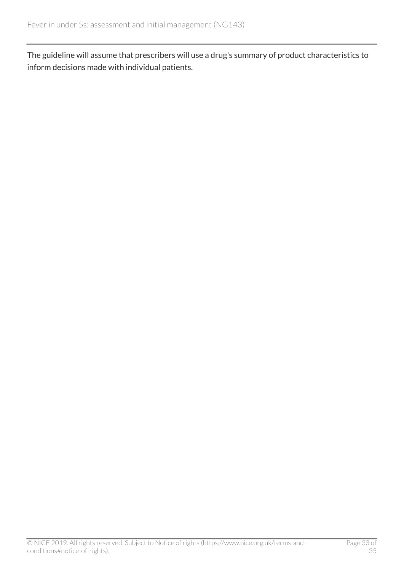The guideline will assume that prescribers will use a drug's summary of product characteristics to inform decisions made with individual patients.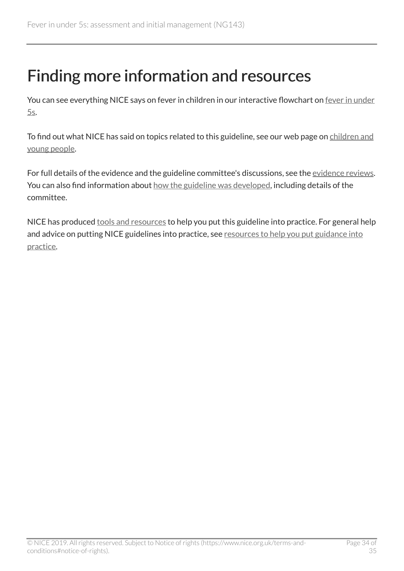# <span id="page-33-0"></span>Finding more information and resources

You can see everything NICE says on fever in children in our interactive flowchart on [fever in under](https://pathways.nice.org.uk/pathways/fever-in-under-5s) [5s](https://pathways.nice.org.uk/pathways/fever-in-under-5s).

To find out what NICE has said on topics related to this guideline, see our web page on [children and](https://www.nice.org.uk/guidance/population-groups/children-and-young-people) [young people](https://www.nice.org.uk/guidance/population-groups/children-and-young-people).

For full details of the evidence and the guideline committee's discussions, see the [evidence reviews.](http://www.nice.org.uk/Guidance/NG143/evidence) You can also find information about [how the guideline was developed](http://www.nice.org.uk/Guidance/NG143/documents), including details of the committee.

NICE has produced [tools and resources](http://www.nice.org.uk/guidance/ng143/resources) to help you put this guideline into practice. For general help and advice on putting NICE guidelines into practice, see [resources to help you put guidance into](https://www.nice.org.uk/about/what-we-do/into-practice/resources-help-put-guidance-into-practice) [practice](https://www.nice.org.uk/about/what-we-do/into-practice/resources-help-put-guidance-into-practice).